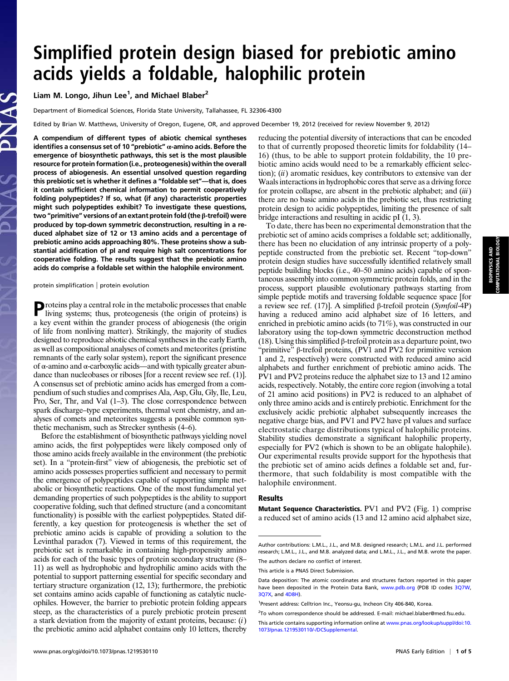# Simplified protein design biased for prebiotic amino acids yields a foldable, halophilic protein

Liam M. Longo, Jihun Lee<sup>1</sup>, and Michael Blaber<sup>2</sup>

Department of Biomedical Sciences, Florida State University, Tallahassee, FL 32306-4300

Edited by Brian W. Matthews, University of Oregon, Eugene, OR, and approved December 19, 2012 (received for review November 9, 2012)

A compendium of different types of abiotic chemical syntheses identifies a consensus set of 10 "prebiotic"  $\alpha$ -amino acids. Before the emergence of biosynthetic pathways, this set is the most plausible resource for protein formation (i.e., proteogenesis) within the overall process of abiogenesis. An essential unsolved question regarding this prebiotic set is whether it defines a "foldable set"—that is, does it contain sufficient chemical information to permit cooperatively folding polypeptides? If so, what (if any) characteristic properties might such polypeptides exhibit? To investigate these questions, two "primitive" versions of an extant protein fold (the β-trefoil) were produced by top-down symmetric deconstruction, resulting in a reduced alphabet size of 12 or 13 amino acids and a percentage of prebiotic amino acids approaching 80%. These proteins show a substantial acidification of pI and require high salt concentrations for cooperative folding. The results suggest that the prebiotic amino acids do comprise a foldable set within the halophile environment.

protein simplification | protein evolution

Proteins play a central role in the metabolic processes that enable<br>living systems: there were living systems; thus, proteogenesis (the origin of proteins) is a key event within the grander process of abiogenesis (the origin of life from nonliving matter). Strikingly, the majority of studies designed to reproduce abiotic chemical syntheses in the early Earth, as well as compositional analyses of comets and meteorites (pristine remnants of the early solar system), report the significant presence of α-amino and α-carboxylic acids—and with typically greater abundance than nucleobases or riboses [for a recent review see ref. (1)]. A consensus set of prebiotic amino acids has emerged from a compendium of such studies and comprises Ala, Asp, Glu, Gly, Ile, Leu, Pro, Ser, Thr, and Val (1–3). The close correspondence between spark discharge–type experiments, thermal vent chemistry, and analyses of comets and meteorites suggests a possible common synthetic mechanism, such as Strecker synthesis (4–6).

Before the establishment of biosynthetic pathways yielding novel amino acids, the first polypeptides were likely composed only of those amino acids freely available in the environment (the prebiotic set). In a "protein-first" view of abiogenesis, the prebiotic set of amino acids possesses properties sufficient and necessary to permit the emergence of polypeptides capable of supporting simple metabolic or biosynthetic reactions. One of the most fundamental yet demanding properties of such polypeptides is the ability to support cooperative folding, such that defined structure (and a concomitant functionality) is possible with the earliest polypeptides. Stated differently, a key question for proteogenesis is whether the set of prebiotic amino acids is capable of providing a solution to the Levinthal paradox (7). Viewed in terms of this requirement, the prebiotic set is remarkable in containing high-propensity amino acids for each of the basic types of protein secondary structure (8– 11) as well as hydrophobic and hydrophilic amino acids with the potential to support patterning essential for specific secondary and tertiary structure organization (12, 13); furthermore, the prebiotic set contains amino acids capable of functioning as catalytic nucleophiles. However, the barrier to prebiotic protein folding appears steep, as the characteristics of a purely prebiotic protein present a stark deviation from the majority of extant proteins, because: (i) the prebiotic amino acid alphabet contains only 10 letters, thereby reducing the potential diversity of interactions that can be encoded to that of currently proposed theoretic limits for foldability (14– 16) (thus, to be able to support protein foldability, the 10 prebiotic amino acids would need to be a remarkably efficient selection);  $(ii)$  aromatic residues, key contributors to extensive van der Waals interactions in hydrophobic cores that serve as a driving force for protein collapse, are absent in the prebiotic alphabet; and  $(iii)$ there are no basic amino acids in the prebiotic set, thus restricting protein design to acidic polypeptides, limiting the presence of salt bridge interactions and resulting in acidic pI (1, 3).

To date, there has been no experimental demonstration that the prebiotic set of amino acids comprises a foldable set; additionally, there has been no elucidation of any intrinsic property of a polypeptide constructed from the prebiotic set. Recent "top-down" protein design studies have successfully identified relatively small peptide building blocks (i.e., 40–50 amino acids) capable of spontaneous assembly into common symmetric protein folds, and in the process, support plausible evolutionary pathways starting from simple peptide motifs and traversing foldable sequence space [for a review see ref. (17)]. A simplified β-trefoil protein (Symfoil-4P) having a reduced amino acid alphabet size of 16 letters, and enriched in prebiotic amino acids (to 71%), was constructed in our laboratory using the top-down symmetric deconstruction method (18). Using this simplified β-trefoil protein as a departure point, two "primitive" β-trefoil proteins, (PV1 and PV2 for primitive version 1 and 2, respectively) were constructed with reduced amino acid alphabets and further enrichment of prebiotic amino acids. The PV1 and PV2 proteins reduce the alphabet size to 13 and 12 amino acids, respectively. Notably, the entire core region (involving a total of 21 amino acid positions) in PV2 is reduced to an alphabet of only three amino acids and is entirely prebiotic. Enrichment for the exclusively acidic prebiotic alphabet subsequently increases the negative charge bias, and PV1 and PV2 have pI values and surface electrostatic charge distributions typical of halophilic proteins. Stability studies demonstrate a significant halophilic property, especially for PV2 (which is shown to be an obligate halophile). Our experimental results provide support for the hypothesis that the prebiotic set of amino acids defines a foldable set and, furthermore, that such foldability is most compatible with the halophile environment.

#### Results

Mutant Sequence Characteristics. PV1 and PV2 (Fig. 1) comprise a reduced set of amino acids (13 and 12 amino acid alphabet size,

<sup>2</sup>To whom correspondence should be addressed. E-mail: [michael.blaber@med.fsu.edu.](mailto:michael.blaber@med.fsu.edu)

Author contributions: L.M.L., J.L., and M.B. designed research; L.M.L. and J.L. performed research; L.M.L., J.L., and M.B. analyzed data; and L.M.L., J.L., and M.B. wrote the paper. The authors declare no conflict of interest.

This article is a PNAS Direct Submission.

Data deposition: The atomic coordinates and structures factors reported in this paper have been deposited in the Protein Data Bank, [www.pdb.org](http://www.pdb.org) (PDB ID codes [3Q7W](http://www.rcsb.org/pdb/explore/explore.do?structureId=3Q7W), [3Q7X](http://www.rcsb.org/pdb/explore/explore.do?structureId=3Q7X), and [4D8H](http://www.rcsb.org/pdb/explore/explore.do?structureId=4D8H)).

<sup>&</sup>lt;sup>1</sup>Present address: Celltrion Inc., Yeonsu-gu, Incheon City 406-840, Korea.

This article contains supporting information online at [www.pnas.org/lookup/suppl/doi:10.](http://www.pnas.org/lookup/suppl/doi:10.1073/pnas.1219530110/-/DCSupplemental) [1073/pnas.1219530110/-/DCSupplemental](http://www.pnas.org/lookup/suppl/doi:10.1073/pnas.1219530110/-/DCSupplemental).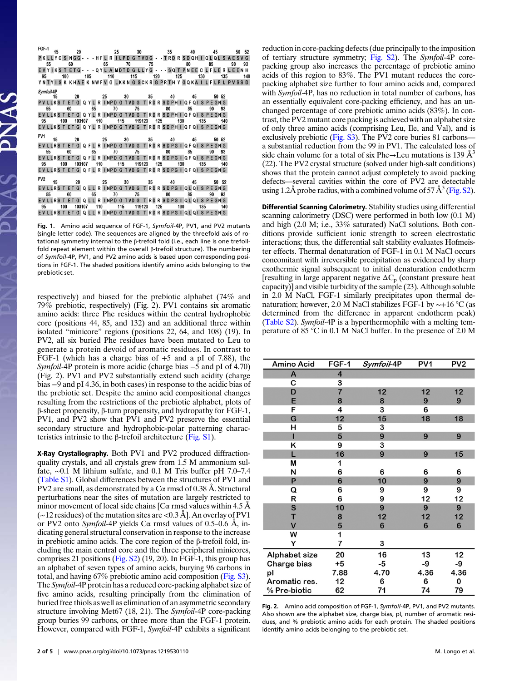|            |  | 115 - 20 25 30 35 40 45 50 52<br>PKLLYCSNGG---HFLRILPDGTVDG--TRDRSDQHIQLQLSAESVG                                          |          |
|------------|--|---------------------------------------------------------------------------------------------------------------------------|----------|
|            |  |                                                                                                                           |          |
| 55         |  | 60 65 70 75 80 85                                                                                                         | 90<br>93 |
|            |  | EVYIKS TETG - - - QYL A MDTD G LLYG - - - SQ T PNEE C LFLE R LEEN H                                                       |          |
|            |  | 95 100 105 110 115 120 125 130 135 140                                                                                    |          |
|            |  | YNTYISK KHAEK NWFV G LKKN G SCKR G PRTH Y GQKA I LFLP L PVSS D                                                            |          |
| Symfoil-4P |  |                                                                                                                           |          |
|            |  | 15 20 25 30 35 40 45 50 52                                                                                                |          |
|            |  | PV LLKS T ET G Q YL R INPD G TVD G T RD R SD PH I Q F Q I S P E GN G                                                      |          |
|            |  | 55 60 65 70 75 80 85 90 93                                                                                                |          |
|            |  | EVLLKST ETG QYL R INPD G TVD G T RD R SD PH I QF QI S PE GN G                                                             |          |
| 95 —       |  | 100 103107 110 115 119123 125 130 135 140                                                                                 |          |
|            |  | EVLLKST ETG Q YL R INPD G TVD G T RD R SD PH I Q F Q I S P E GN G                                                         |          |
|            |  |                                                                                                                           |          |
|            |  |                                                                                                                           |          |
| PV1        |  | 15 20 25 30 35 40 45 50 52                                                                                                |          |
|            |  | EVLLRST ETG Q FL R INPD G TVD G T RD R SD PG I Q F Q I S P E GN G                                                         |          |
|            |  | 55 60 65 70 75 80 85 90 93                                                                                                |          |
|            |  | EVLLRST ETG Q FL R INPD G TVD G T RD R SD PG I Q F Q I S P E GN G                                                         |          |
|            |  | 95 100 103107 110 115 119123 125 130 135 140                                                                              |          |
|            |  | EVLLRST ET G Q FL R INPD G TVD G T RD R SD PG I Q F Q I S P E GN G                                                        |          |
|            |  |                                                                                                                           |          |
|            |  |                                                                                                                           |          |
|            |  | PV2 15 20 25 30 35 40 45 50 52                                                                                            |          |
|            |  | EVLLRST ETG QLL R INPD G TVD G T RD R SD PG I QL QI S PEGN G                                                              |          |
|            |  | 55 60 65 70 75 80 85 90 93                                                                                                |          |
|            |  | EVLLRST ETG QLL R INPD G TVD G T RD R SD PG I QL QI S PEGN G                                                              |          |
|            |  | 95  100  103107  110  115  119123  125  130  135  140<br>EVLLRST ET G Q L L R INPD G TVD G T RD R SD PG I QL QI S PE GN G |          |

Fig. 1. Amino acid sequence of FGF-1, Symfoil-4P, PV1, and PV2 mutants (single letter code). The sequences are aligned by the threefold axis of rotational symmetry internal to the β-trefoil fold (i.e., each line is one trefoilfold repeat element within the overall β-trefoil structure). The numbering of Symfoil-4P, PV1, and PV2 amino acids is based upon corresponding positions in FGF-1. The shaded positions identify amino acids belonging to the prebiotic set.

respectively) and biased for the prebiotic alphabet (74% and 79% prebiotic, respectively) (Fig. 2). PV1 contains six aromatic amino acids: three Phe residues within the central hydrophobic core (positions 44, 85, and 132) and an additional three within isolated "minicore" regions (positions 22, 64, and 108) (19). In PV2, all six buried Phe residues have been mutated to Leu to generate a protein devoid of aromatic residues. In contrast to FGF-1 (which has a charge bias of +5 and a pI of 7.88), the Symfoil-4P protein is more acidic (charge bias –5 and pI of 4.70) (Fig. 2). PV1 and PV2 substantially extend such acidity (charge bias −9 and pI 4.36, in both cases) in response to the acidic bias of the prebiotic set. Despite the amino acid compositional changes resulting from the restrictions of the prebiotic alphabet, plots of β-sheet propensity, β-turn propensity, and hydropathy for FGF-1, PV1, and PV2 show that PV1 and PV2 preserve the essential secondary structure and hydrophobic-polar patterning charac-teristics intrinsic to the β-trefoil architecture [\(Fig. S1\)](http://www.pnas.org/lookup/suppl/doi:10.1073/pnas.1219530110/-/DCSupplemental/pnas.201219530SI.pdf?targetid=nameddest=SF1).

X-Ray Crystallography. Both PV1 and PV2 produced diffractionquality crystals, and all crystals grew from 1.5 M ammonium sulfate, ∼0.1 M lithium sulfate, and 0.1 M Tris buffer pH 7.0–7.4 [\(Table S1](http://www.pnas.org/lookup/suppl/doi:10.1073/pnas.1219530110/-/DCSupplemental/pnas.201219530SI.pdf?targetid=nameddest=ST1)). Global differences between the structures of PV1 and PV2 are small, as demonstrated by a  $C\alpha$  rmsd of 0.38 Å. Structural perturbations near the sites of mutation are largely restricted to minor movement of local side chains  $C\alpha$  rmsd values within 4.5 Å (∼12 residues) of the mutation sites are<0.3 Å]. An overlay of PV1 or PV2 onto Symfoil-4P yields  $C\alpha$  rmsd values of 0.5–0.6 Å, indicating general structural conservation in response to the increase in prebiotic amino acids. The core region of the β-trefoil fold, including the main central core and the three peripheral minicores, comprises 21 positions [\(Fig. S2\)](http://www.pnas.org/lookup/suppl/doi:10.1073/pnas.1219530110/-/DCSupplemental/pnas.201219530SI.pdf?targetid=nameddest=SF2) (19, 20). In FGF-1, this group has an alphabet of seven types of amino acids, burying 96 carbons in total, and having 67% prebiotic amino acid composition ([Fig. S3](http://www.pnas.org/lookup/suppl/doi:10.1073/pnas.1219530110/-/DCSupplemental/pnas.201219530SI.pdf?targetid=nameddest=SF3)). The Symfoil-4P protein has a reduced core-packing alphabet size of five amino acids, resulting principally from the elimination of buried free thiols as well as elimination of an asymmetric secondary structure involving Met67 (18, 21). The Symfoil-4P core-packing group buries 99 carbons, or three more than the FGF-1 protein. However, compared with FGF-1, Symfoil-4P exhibits a significant reduction in core-packing defects (due principally to the imposition of tertiary structure symmetry; [Fig. S2\)](http://www.pnas.org/lookup/suppl/doi:10.1073/pnas.1219530110/-/DCSupplemental/pnas.201219530SI.pdf?targetid=nameddest=SF2). The Symfoil-4P corepacking group also increases the percentage of prebiotic amino acids of this region to 83%. The PV1 mutant reduces the corepacking alphabet size further to four amino acids and, compared with Symfoil-4P, has no reduction in total number of carbons, has an essentially equivalent core-packing efficiency, and has an unchanged percentage of core prebiotic amino acids (83%). In contrast, the PV2 mutant core packing is achieved with an alphabet size of only three amino acids (comprising Leu, Ile, and Val), and is exclusively prebiotic [\(Fig. S3](http://www.pnas.org/lookup/suppl/doi:10.1073/pnas.1219530110/-/DCSupplemental/pnas.201219530SI.pdf?targetid=nameddest=SF3)). The PV2 core buries 81 carbons a substantial reduction from the 99 in PV1. The calculated loss of side chain volume for a total of six Phe $\rightarrow$ Leu mutations is 139 Å<sup>3</sup> (22). The PV2 crystal structure (solved under high-salt conditions) shows that the protein cannot adjust completely to avoid packing defects—several cavities within the core of PV2 are detectable using 1.2Å probe radius, with a combined volume of 57 Å<sup>3</sup> [\(Fig. S2\)](http://www.pnas.org/lookup/suppl/doi:10.1073/pnas.1219530110/-/DCSupplemental/pnas.201219530SI.pdf?targetid=nameddest=SF2).

Differential Scanning Calorimetry. Stability studies using differential scanning calorimetry (DSC) were performed in both low (0.1 M) and high (2.0 M; i.e., 33% saturated) NaCl solutions. Both conditions provide sufficient ionic strength to screen electrostatic interactions; thus, the differential salt stability evaluates Hofmeister effects. Thermal denaturation of FGF-1 in 0.1 M NaCl occurs concomitant with irreversible precipitation as evidenced by sharp exothermic signal subsequent to initial denaturation endotherm [resulting in large apparent negative  $\Delta C_p$  (constant pressure heat capacity)] and visible turbidity of the sample (23). Although soluble in 2.0 M NaCl, FGF-1 similarly precipitates upon thermal denaturation; however, 2.0 M NaCl stabilizes FGF-1 by ∼+16 °C (as determined from the difference in apparent endotherm peak) ([Table S2\)](http://www.pnas.org/lookup/suppl/doi:10.1073/pnas.1219530110/-/DCSupplemental/pnas.201219530SI.pdf?targetid=nameddest=ST2). Symfoil-4P is a hyperthermophile with a melting temperature of 85 °C in 0.1 M NaCl buffer. In the presence of 2.0 M

| Amino Acid              | FGF-1          | Symfoil-4P     | PV <sub>1</sub> | PV <sub>2</sub> |
|-------------------------|----------------|----------------|-----------------|-----------------|
| A                       | 4              |                |                 |                 |
| с                       | 3              |                |                 |                 |
| D                       | $\overline{7}$ | 12             | 12              | 12              |
| E                       | 8              | 8              | 9               | 9               |
| F                       | 4              | 3              | 6               |                 |
| Ġ                       | 12             | 15             | 18              | 18              |
| н                       | 5              | з              |                 |                 |
| П                       | 5              | 9              | 9               | 9               |
| ĸ                       | 9              | 3              |                 |                 |
| L                       | 16             | 9              | 9               | 15              |
| M                       | 1              |                |                 |                 |
| N                       | 6              | 6              | 6               | 6               |
| P                       | $6\phantom{1}$ | 10             | 9               | 9               |
| Q                       | 6              | 9              | 9               | 9               |
| R                       | 6              | 9              | 12              | 12              |
| S                       | 10             | 9              | 9               | 9               |
| T                       | 8              | 12             | 12              | 12              |
| $\overline{\mathsf{V}}$ | 5              | $6\phantom{1}$ | $6\phantom{1}6$ | 6               |
| W                       | 1              |                |                 |                 |
| Y                       | 7              | 3              |                 |                 |
| Alphabet size           | 20             | 16             | 13              | 12              |
| Charge bias             | $+5$           | -5             | -9              | -9              |
| pl                      | 7.88           | 4.70           | 4.36            | 4.36            |
| Aromatic res.           | 12             | 6              | 6               | 0               |
| % Pre-biotic            | 62             | 71             | 74              | 79              |

Fig. 2. Amino acid composition of FGF-1, Symfoil-4P, PV1, and PV2 mutants. Also shown are the alphabet size, charge bias, pI, number of aromatic residues, and % prebiotic amino acids for each protein. The shaded positions identify amino acids belonging to the prebiotic set.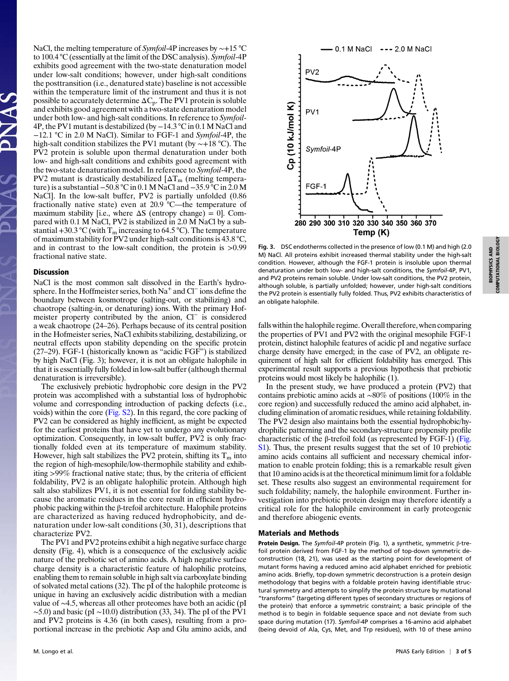NaCl, the melting temperature of *Symfoil*-4P increases by ~+15 °C to 100.4 °C (essentially at the limit of the DSC analysis). Symfoil-4P exhibits good agreement with the two-state denaturation model under low-salt conditions; however, under high-salt conditions the posttransition (i.e., denatured state) baseline is not accessible within the temperature limit of the instrument and thus it is not possible to accurately determine  $\Delta C_p$ . The PV1 protein is soluble and exhibits good agreement with a two-state denaturation model under both low- and high-salt conditions. In reference to Symfoil-4P, the PV1 mutant is destabilized (by −14.3 °C in 0.1 M NaCl and −12.1 °C in 2.0 M NaCl). Similar to FGF-1 and Symfoil-4P, the high-salt condition stabilizes the PV1 mutant (by ∼+18 °C). The PV2 protein is soluble upon thermal denaturation under both low- and high-salt conditions and exhibits good agreement with the two-state denaturation model. In reference to Symfoil-4P, the PV2 mutant is drastically destabilized  $[\Delta T_m$  (melting temperature) is a substantial −50.8 °C in 0.1 M NaCl and −35.9 °C in 2.0 M NaCl]. In the low-salt buffer, PV2 is partially unfolded (0.86 fractionally native state) even at 20.9 °C—the temperature of maximum stability [i.e., where  $\Delta S$  (entropy change) = 0]. Compared with 0.1 M NaCl, PV2 is stabilized in 2.0 M NaCl by a substantial +30.3 °C (with  $T_m$  increasing to 64.5 °C). The temperature of maximum stability for PV2 under high-salt conditions is 43.8 °C, and in contrast to the low-salt condition, the protein is >0.99 fractional native state.

#### **Discussion**

NaCl is the most common salt dissolved in the Earth's hydrosphere. In the Hoffmeister series, both Na<sup>+</sup> and Cl<sup>−</sup> ions define the boundary between kosmotrope (salting-out, or stabilizing) and chaotrope (salting-in, or denaturing) ions. With the primary Hofmeister property contributed by the anion, Cl<sup>−</sup> is considered a weak chaotrope (24–26). Perhaps because of its central position in the Hofmeister series, NaCl exhibits stabilizing, destabilizing, or neutral effects upon stability depending on the specific protein (27–29). FGF-1 (historically known as "acidic FGF") is stabilized by high NaCl (Fig. 3); however, it is not an obligate halophile in that it is essentially fully folded in low-salt buffer (although thermal denaturation is irreversible).

The exclusively prebiotic hydrophobic core design in the PV2 protein was accomplished with a substantial loss of hydrophobic volume and corresponding introduction of packing defects (i.e., voids) within the core [\(Fig. S2\)](http://www.pnas.org/lookup/suppl/doi:10.1073/pnas.1219530110/-/DCSupplemental/pnas.201219530SI.pdf?targetid=nameddest=SF2). In this regard, the core packing of PV2 can be considered as highly inefficient, as might be expected for the earliest proteins that have yet to undergo any evolutionary optimization. Consequently, in low-salt buffer, PV2 is only fractionally folded even at its temperature of maximum stability. However, high salt stabilizes the PV2 protein, shifting its  $T_m$  into the region of high-mesophile/low-thermophile stability and exhibiting >99% fractional native state; thus, by the criteria of efficient foldability, PV2 is an obligate halophilic protein. Although high salt also stabilizes PV1, it is not essential for folding stability because the aromatic residues in the core result in efficient hydrophobic packing within the β-trefoil architecture. Halophile proteins are characterized as having reduced hydrophobicity, and denaturation under low-salt conditions (30, 31), descriptions that characterize PV2.

The PV1 and PV2 proteins exhibit a high negative surface charge density (Fig. 4), which is a consequence of the exclusively acidic nature of the prebiotic set of amino acids. A high negative surface charge density is a characteristic feature of halophilic proteins, enabling them to remain soluble in high salt via carboxylate binding of solvated metal cations (32). The pI of the halophile proteome is unique in having an exclusively acidic distribution with a median value of ∼4.5, whereas all other proteomes have both an acidic (pI  $\sim$ 5.0) and basic (pI  $\sim$ 10.0) distribution (33, 34). The pI of the PV1 and PV2 proteins is 4.36 (in both cases), resulting from a proportional increase in the prebiotic Asp and Glu amino acids, and



Fig. 3. DSC endotherms collected in the presence of low (0.1 M) and high (2.0 M) NaCl. All proteins exhibit increased thermal stability under the high-salt condition. However, although the FGF-1 protein is insoluble upon thermal denaturation under both low- and high-salt conditions, the Symfoil-4P, PV1, and PV2 proteins remain soluble. Under low-salt conditions, the PV2 protein, although soluble, is partially unfolded; however, under high-salt conditions the PV2 protein is essentially fully folded. Thus, PV2 exhibits characteristics of an obligate halophile.

falls within the halophile regime. Overall therefore, when comparing the properties of PV1 and PV2 with the original mesophile FGF-1 protein, distinct halophile features of acidic pI and negative surface charge density have emerged; in the case of PV2, an obligate requirement of high salt for efficient foldability has emerged. This experimental result supports a previous hypothesis that prebiotic proteins would most likely be halophilic (1).

In the present study, we have produced a protein (PV2) that contains prebiotic amino acids at ∼80% of positions (100% in the core region) and successfully reduced the amino acid alphabet, including elimination of aromatic residues, while retaining foldability. The PV2 design also maintains both the essential hydrophobic/hydrophilic patterning and the secondary-structure propensity profile characteristic of the β-trefoil fold (as represented by FGF-1) ([Fig.](http://www.pnas.org/lookup/suppl/doi:10.1073/pnas.1219530110/-/DCSupplemental/pnas.201219530SI.pdf?targetid=nameddest=SF1) [S1\)](http://www.pnas.org/lookup/suppl/doi:10.1073/pnas.1219530110/-/DCSupplemental/pnas.201219530SI.pdf?targetid=nameddest=SF1). Thus, the present results suggest that the set of 10 prebiotic amino acids contains all sufficient and necessary chemical information to enable protein folding; this is a remarkable result given that 10 amino acids is at the theoretical minimum limit for a foldable set. These results also suggest an environmental requirement for such foldability; namely, the halophile environment. Further investigation into prebiotic protein design may therefore identify a critical role for the halophile environment in early proteogenic and therefore abiogenic events.

#### Materials and Methods

Protein Design. The Symfoil-4P protein (Fig. 1), a synthetic, symmetric β-trefoil protein derived from FGF-1 by the method of top-down symmetric deconstruction (18, 21), was used as the starting point for development of mutant forms having a reduced amino acid alphabet enriched for prebiotic amino acids. Briefly, top-down symmetric deconstruction is a protein design methodology that begins with a foldable protein having identifiable structural symmetry and attempts to simplify the protein structure by mutational "transforms" (targeting different types of secondary structures or regions of the protein) that enforce a symmetric constraint; a basic principle of the method is to begin in foldable sequence space and not deviate from such space during mutation (17). Symfoil-4P comprises a 16-amino acid alphabet (being devoid of Ala, Cys, Met, and Trp residues), with 10 of these amino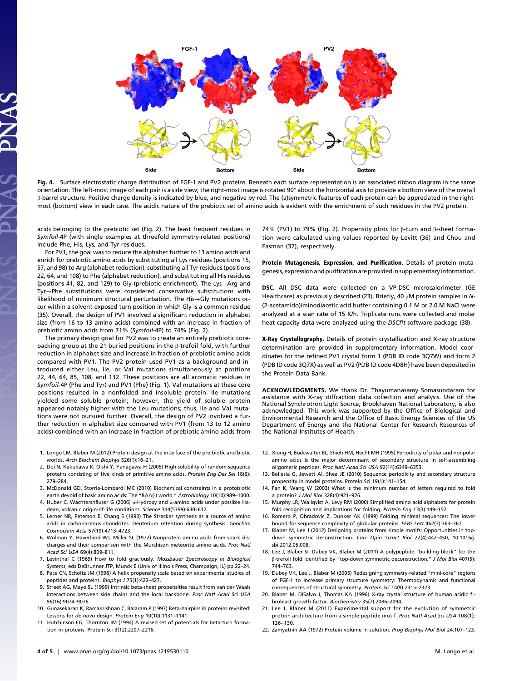

Fig. 4. Surface electrostatic charge distribution of FGF-1 and PV2 proteins. Beneath each surface representation is an associated ribbon diagram in the same orientation. The left-most image of each pair is a side view; the right-most image is rotated 90° about the horizontal axis to provide a bottom view of the overall β-barrel structure. Positive charge density is indicated by blue, and negative by red. The (a)symmetric features of each protein can be appreciated in the rightmost (bottom) view in each case. The acidic nature of the prebiotic set of amino acids is evident with the enrichment of such residues in the PV2 protein.

acids belonging to the prebiotic set (Fig. 2). The least frequent residues in Symfoil-4P (with single examples at threefold symmetry-related positions) include Phe, His, Lys, and Tyr residues.

For PV1, the goal was to reduce the alphabet further to 13 amino acids and enrich for prebiotic amino acids by substituting all Lys residues (positions 15, 57, and 98) to Arg (alphabet reduction), substituting all Tyr residues (positions 22, 64, and 108) to Phe (alphabet reduction), and substituting all His residues (positions 41, 82, and 129) to Gly (prebiotic enrichment). The Lys→Arg and Tyr→Phe substitutions were considered conservative substitutions with likelihood of minimum structural perturbation. The His→Gly mutations occur within a solvent-exposed turn position in which Gly is a common residue (35). Overall, the design of PV1 involved a significant reduction in alphabet size (from 16 to 13 amino acids) combined with an increase in fraction of prebiotic amino acids from 71% (Symfoil-4P) to 74% (Fig. 2).

The primary design goal for PV2 was to create an entirely prebiotic corepacking group at the 21 buried positions in the β-trefoil fold, with further reduction in alphabet size and increase in fraction of prebiotic amino acids compared with PV1. The PV2 protein used PV1 as a background and introduced either Leu, Ile, or Val mutations simultaneously at positions 22, 44, 64, 85, 108, and 132. These positions are all aromatic residues in Symfoil-4P (Phe and Tyr) and PV1 (Phe) (Fig. 1). Val mutations at these core positions resulted in a nonfolded and insoluble protein. Ile mutations yielded some soluble protein; however, the yield of soluble protein appeared notably higher with the Leu mutations; thus, Ile and Val mutations were not pursued further. Overall, the design of PV2 involved a further reduction in alphabet size compared with PV1 (from 13 to 12 amino acids) combined with an increase in fraction of prebiotic amino acids from

- 1. Longo LM, Blaber M (2012) Protein design at the interface of the pre-biotic and biotic worlds. Arch Biochem Biophys 526(1):16–21.
- 2. Doi N, Kakukawa K, Oishi Y, Yanagawa H (2005) High solubility of random-sequence proteins consisting of five kinds of primitive amino acids. Protein Eng Des Sel 18(6): 279–284.
- 3. McDonald GD, Storrie-Lombardi MC (2010) Biochemical constraints in a protobiotic earth devoid of basic amino acids: The "BAA(-) world." Astrobiology 10(10):989–1000.
- 4. Huber C, Wächtershäuser G (2006)  $\alpha$ -Hydroxy and  $\alpha$ -amino acids under possible Hadean, volcanic origin-of-life conditions. Science 314(5799):630–632.
- 5. Lerner NR, Peterson E, Chang S (1993) The Strecker synthesis as a source of amino acids in carbonaceous chondrites: Deuterium retention during synthesis. Geochim Cosmochim Acta 57(19):4713–4723.
- 6. Wolman Y, Haverland WJ, Miller SL (1972) Nonprotein amino acids from spark discharges and their comparison with the Murchison meteorite amino acids. Proc Natl Acad Sci USA 69(4):809–811.
- 7. Levinthal C (1969) How to fold graciously. Mossbauer Spectroscopy in Biological Systems, eds DeBrunner JTP, Munck E (Univ of Illinois Press, Champaign, IL) pp 22–24.
- 8. Pace CN, Scholtz JM (1998) A helix propensity scale based on experimental studies of peptides and proteins. Biophys J 75(1):422–427.
- 9. Street AG, Mayo SL (1999) Intrinsic beta-sheet propensities result from van der Waals interactions between side chains and the local backbone. Proc Natl Acad Sci USA 96(16):9074–9076.
- 10. Gunasekaran K, Ramakrishnan C, Balaram P (1997) Beta-hairpins in proteins revisited: Lessons for de novo design. Protein Eng 10(10):1131–1141.
- 11. Hutchinson EG, Thornton JM (1994) A revised set of potentials for beta-turn formation in proteins. Protein Sci 3(12):2207–2216.

74% (PV1) to 79% (Fig. 2). Propensity plots for β-turn and β-sheet formation were calculated using values reported by Levitt (36) and Chou and Fasman (37), respectively.

Protein Mutagenesis, Expression, and Purification. Details of protein mutagenesis, expression and purification are provided in supplementary information.

DSC. All DSC data were collected on a VP-DSC microcalorimeter (GE Healthcare) as previously described (23). Briefly, 40 μM protein samples in N- (2-acetamido)iminodiacetic acid buffer containing 0.1 M or 2.0 M NaCl were analyzed at a scan rate of 15 K/h. Triplicate runs were collected and molar heat capacity data were analyzed using the DSCfit software package (38).

X-Ray Crystallography. Details of protein crystallization and X-ray structure determination are provided in supplementary information. Model coordinates for the refined PV1 crystal form 1 (PDB ID code 3Q7W) and form 2 (PDB ID code 3Q7X) as well as PV2 (PDB ID code 4D8H) have been deposited in the Protein Data Bank.

ACKNOWLEDGMENTS. We thank Dr. Thayumanasamy Somasundaram for assistance with X-ray diffraction data collection and analysis. Use of the National Synchrotron Light Source, Brookhaven National Laboratory, is also acknowledged. This work was supported by the Office of Biological and Environmental Research and the Office of Basic Energy Sciences of the US Department of Energy and the National Center for Research Resources of the National Institutes of Health.

- 12. Xiong H, Buckwalter BL, Shieh HM, Hecht MH (1995) Periodicity of polar and nonpolar amino acids is the major determinant of secondary structure in self-assembling oligomeric peptides. Proc Natl Acad Sci USA 92(14):6349–6353.
- 13. Bellesia G, Jewett AI, Shea JE (2010) Sequence periodicity and secondary structure propensity in model proteins. Protein Sci 19(1):141–154.
- 14. Fan K, Wang W (2003) What is the minimum number of letters required to fold a protein? J Mol Biol 328(4):921–926.
- 15. Murphy LR, Wallqvist A, Levy RM (2000) Simplified amino acid alphabets for protein fold recognition and implications for folding. Protein Eng 13(3):149–152.
- 16. Romero P, Obradovic Z, Dunker AK (1999) Folding minimal sequences: The lower bound for sequence complexity of globular proteins. FEBS Lett 462(3):363–367.
- 17. Blaber M, Lee J (2012) Designing proteins from simple motifs: Opportunities in topdown symmetric deconstruction. Curr Opin Struct Biol 22(4):442–450, 10.1016/j. sbi.2012.05.008.
- 18. Lee J, Blaber SI, Dubey VK, Blaber M (2011) A polypeptide "building block" for the β-trefoil fold identified by "top-down symmetric deconstruction." J Mol Biol 407(5): 744–763.
- 19. Dubey VK, Lee J, Blaber M (2005) Redesigning symmetry-related "mini-core" regions of FGF-1 to increase primary structure symmetry: Thermodynamic and functional consequences of structural symmetry. Protein Sci 14(9):2315–2323.
- 20. Blaber M, DiSalvo J, Thomas KA (1996) X-ray crystal structure of human acidic fibroblast growth factor. Biochemistry 35(7):2086–2094.
- 21. Lee J, Blaber M (2011) Experimental support for the evolution of symmetric protein architecture from a simple peptide motif. Proc Natl Acad Sci USA 108(1): 126–130.
- 22. Zamyatnin AA (1972) Protein volume in solution. Prog Biophys Mol Biol 24:107–123.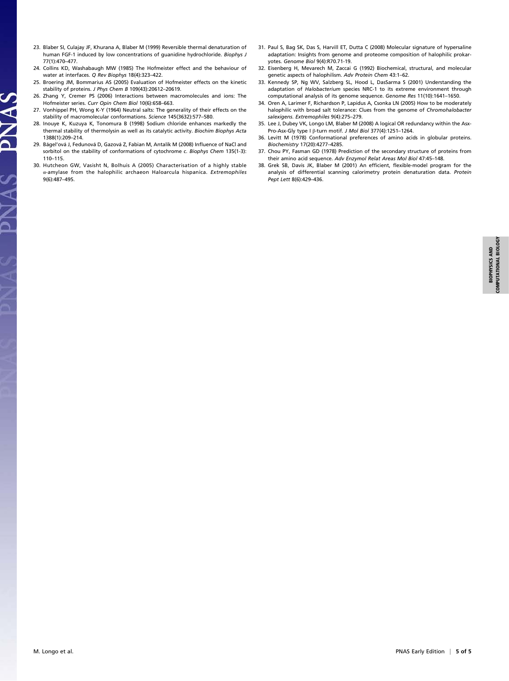- 23. Blaber SI, Culajay JF, Khurana A, Blaber M (1999) Reversible thermal denaturation of human FGF-1 induced by low concentrations of guanidine hydrochloride. Biophys J 77(1):470–477.
- 24. Collins KD, Washabaugh MW (1985) The Hofmeister effect and the behaviour of water at interfaces. Q Rev Biophys 18(4):323–422.
- 25. Broering JM, Bommarius AS (2005) Evaluation of Hofmeister effects on the kinetic stability of proteins. J Phys Chem B 109(43):20612–20619.
- 26. Zhang Y, Cremer PS (2006) Interactions between macromolecules and ions: The Hofmeister series. Curr Opin Chem Biol 10(6):658–663.
- 27. Vonhippel PH, Wong K-Y (1964) Neutral salts: The generality of their effects on the stability of macromolecular conformations. Science 145(3632):577–580.

NAS

V<br>Z

- 28. Inouye K, Kuzuya K, Tonomura B (1998) Sodium chloride enhances markedly the thermal stability of thermolysin as well as its catalytic activity. Biochim Biophys Acta 1388(1):209–214.
- 29. Bágel'ová J, Fedunová D, Gazová Z, Fabian M, Antalík M (2008) Influence of NaCl and sorbitol on the stability of conformations of cytochrome c. Biophys Chem 135(1-3): 110–115.
- 30. Hutcheon GW, Vasisht N, Bolhuis A (2005) Characterisation of a highly stable α-amylase from the halophilic archaeon Haloarcula hispanica. Extremophiles 9(6):487–495.
- 31. Paul S, Bag SK, Das S, Harvill ET, Dutta C (2008) Molecular signature of hypersaline adaptation: Insights from genome and proteome composition of halophilic prokaryotes. Genome Biol 9(4):R70.71-19.
- 32. Eisenberg H, Mevarech M, Zaccai G (1992) Biochemical, structural, and molecular genetic aspects of halophilism. Adv Protein Chem 43:1–62.
- 33. Kennedy SP, Ng WV, Salzberg SL, Hood L, DasSarma S (2001) Understanding the adaptation of Halobacterium species NRC-1 to its extreme environment through computational analysis of its genome sequence. Genome Res 11(10):1641–1650.
- 34. Oren A, Larimer F, Richardson P, Lapidus A, Csonka LN (2005) How to be moderately halophilic with broad salt tolerance: Clues from the genome of Chromohalobacter salexigens. Extremophiles 9(4):275–279.
- 35. Lee J, Dubey VK, Longo LM, Blaber M (2008) A logical OR redundancy within the Asx-Pro-Asx-Gly type I β-turn motif. J Mol Biol 377(4):1251–1264.
- 36. Levitt M (1978) Conformational preferences of amino acids in globular proteins. Biochemistry 17(20):4277–4285.
- 37. Chou PY, Fasman GD (1978) Prediction of the secondary structure of proteins from their amino acid sequence. Adv Enzymol Relat Areas Mol Biol 47:45–148.
- 38. Grek SB, Davis JK, Blaber M (2001) An efficient, flexible-model program for the analysis of differential scanning calorimetry protein denaturation data. Protein Pept Lett 8(6):429–436.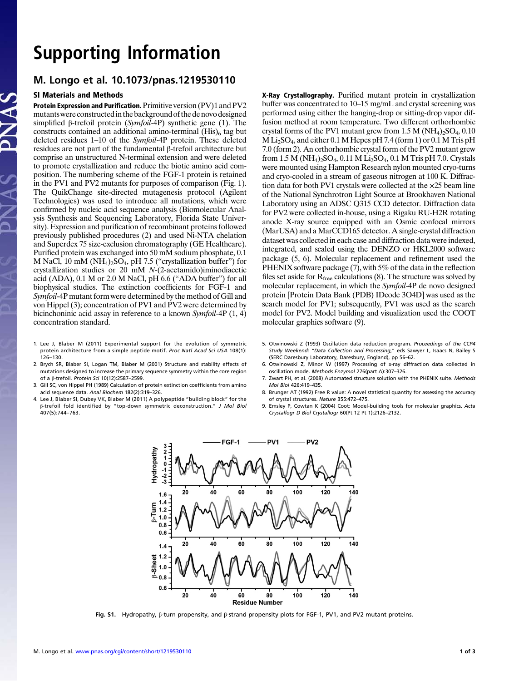## Supporting Information

### M. Longo et al. 10.1073/pnas.1219530110

### SI Materials and Methods

Protein Expression and Purification. Primitive version (PV)1 and PV2 mutantswere constructedin the background of the denovo designed simplified β-trefoil protein (Symfoil-4P) synthetic gene (1). The constructs contained an additional amino-terminal  $(His)$ <sub>6</sub> tag but deleted residues 1–10 of the Symfoil-4P protein. These deleted residues are not part of the fundamental β-trefoil architecture but comprise an unstructured N-terminal extension and were deleted to promote crystallization and reduce the biotic amino acid composition. The numbering scheme of the FGF-1 protein is retained in the PV1 and PV2 mutants for purposes of comparison (Fig. 1). The QuikChange site-directed mutagenesis protocol (Agilent Technologies) was used to introduce all mutations, which were confirmed by nucleic acid sequence analysis (Biomolecular Analysis Synthesis and Sequencing Laboratory, Florida State University). Expression and purification of recombinant proteins followed previously published procedures (2) and used Ni-NTA chelation and Superdex 75 size-exclusion chromatography (GE Healthcare). Purified protein was exchanged into 50 mM sodium phosphate, 0.1 M NaCl, 10 mM (NH<sub>4</sub>)<sub>2</sub>SO<sub>4</sub>, pH 7.5 ("crystallization buffer") for crystallization studies or 20 mM N-(2-acetamido)iminodiacetic acid (ADA), 0.1 M or 2.0 M NaCl, pH 6.6 ("ADA buffer") for all biophysical studies. The extinction coefficients for FGF-1 and Symfoil-4P mutant form were determined by the method of Gill and von Hippel (3); concentration of PV1 and PV2 were determined by bicinchoninic acid assay in reference to a known Symfoil-4P  $(1, 4)$ concentration standard.

- 1. Lee J, Blaber M (2011) Experimental support for the evolution of symmetric protein architecture from a simple peptide motif. Proc Natl Acad Sci USA 108(1): 126–130.
- 2. Brych SR, Blaber SI, Logan TM, Blaber M (2001) Structure and stability effects of mutations designed to increase the primary sequence symmetry within the core region of a β-trefoil. Protein Sci 10(12):2587–2599.
- 3. Gill SC, von Hippel PH (1989) Calculation of protein extinction coefficients from amino acid sequence data. Anal Biochem 182(2):319–326.
- 4. Lee J, Blaber SI, Dubey VK, Blaber M (2011) A polypeptide "building block" for the β-trefoil fold identified by "top-down symmetric deconstruction." J Mol Biol 407(5):744–763.

X-Ray Crystallography. Purified mutant protein in crystallization buffer was concentrated to 10–15 mg/mL and crystal screening was performed using either the hanging-drop or sitting-drop vapor diffusion method at room temperature. Two different orthorhombic crystal forms of the PV1 mutant grew from  $1.5$  M (NH<sub>4</sub>)<sub>2</sub>SO<sub>4</sub>, 0.10  $M Li<sub>2</sub>SO<sub>4</sub>$ , and either 0.1 M Hepes pH 7.4 (form 1) or 0.1 M Tris pH 7.0 (form 2). An orthorhombic crystal form of the PV2 mutant grew from 1.5 M (NH<sub>4</sub>)<sub>2</sub>SO<sub>4</sub>, 0.11 M Li<sub>2</sub>SO<sub>4</sub>, 0.1 M Tris pH 7.0. Crystals were mounted using Hampton Research nylon mounted cryo-turns and cryo-cooled in a stream of gaseous nitrogen at 100 K. Diffraction data for both PV1 crystals were collected at the ×25 beam line of the National Synchrotron Light Source at Brookhaven National Laboratory using an ADSC Q315 CCD detector. Diffraction data for PV2 were collected in-house, using a Rigaku RU-H2R rotating anode X-ray source equipped with an Osmic confocal mirrors (MarUSA) and a MarCCD165 detector. A single-crystal diffraction dataset was collected in each case and diffraction data were indexed, integrated, and scaled using the DENZO or HKL2000 software package (5, 6). Molecular replacement and refinement used the PHENIX software package (7), with 5% of the data in the reflection files set aside for  $R_{\text{free}}$  calculations (8). The structure was solved by molecular replacement, in which the Symfoil-4P de novo designed protein [Protein Data Bank (PDB) IDcode 3O4D] was used as the search model for PV1; subsequently, PV1 was used as the search model for PV2. Model building and visualization used the COOT molecular graphics software (9).

- 5. Otwinowski Z (1993) Oscillation data reduction program. Proceedings of the CCP4 Study Weekend: "Data Collection and Processing," eds Sawyer L, Isaacs N, Bailey S (SERC Daresbury Laboratory, Daresbury, England), pp 56–62.
- 6. Otwinowski Z, Minor W (1997) Processing of x-ray diffraction data collected in oscillation mode. Methods Enzymol 276(part A):307–326.
- 7. Zwart PH, et al. (2008) Automated structure solution with the PHENIX suite. Methods Mol Biol 426:419–435.
- 8. Brunger AT (1992) Free R value: A novel statistical quantity for assessing the accuracy of crystal structures. Nature 355:472–475.
- 9. Emsley P, Cowtan K (2004) Coot: Model-building tools for molecular graphics. Acta Crystallogr D Biol Crystallogr 60(Pt 12 Pt 1):2126–2132.



Fig. S1. Hydropathy, β-turn propensity, and β-strand propensity plots for FGF-1, PV1, and PV2 mutant proteins.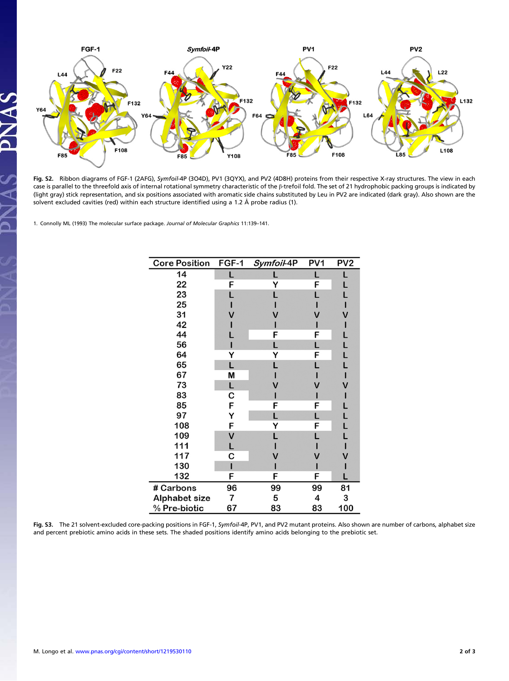

Fig. S2. Ribbon diagrams of FGF-1 (2AFG), Symfoil-4P (3O4D), PV1 (3QYX), and PV2 (4D8H) proteins from their respective X-ray structures. The view in each case is parallel to the threefold axis of internal rotational symmetry characteristic of the β-trefoil fold. The set of 21 hydrophobic packing groups is indicated by (light gray) stick representation, and six positions associated with aromatic side chains substituted by Leu in PV2 are indicated (dark gray). Also shown are the solvent excluded cavities (red) within each structure identified using a 1.2 Å probe radius (1).

1. Connolly ML (1993) The molecular surface package. Journal of Molecular Graphics 11:139–141.

| <b>Core Position</b> | FGF-1 | Symfoil-4P | PV <sub>1</sub> | PV <sub>2</sub> |
|----------------------|-------|------------|-----------------|-----------------|
| 14                   | L     |            | L               |                 |
| 22                   | F     |            | F               |                 |
| 23                   |       |            |                 |                 |
| 25                   |       |            |                 |                 |
| 31                   |       |            |                 |                 |
| 42                   |       |            |                 |                 |
| 44                   |       | F          | F               |                 |
| 56                   |       |            |                 |                 |
| 64                   | Y     |            | F               |                 |
| 65                   | L     |            |                 |                 |
| 67                   | M     |            |                 |                 |
| 73                   | L     |            |                 |                 |
| 83                   | с     |            |                 |                 |
| 85                   | F     | F          | F               |                 |
| 97                   | Y     | L          | L               |                 |
| 108                  | F     | Y          | F               | Ĺ               |
| 109                  | V     |            |                 |                 |
| 111                  | L     |            |                 |                 |
| 117                  | с     |            |                 |                 |
| 130                  |       |            |                 |                 |
| 132                  | F     | F          | F               |                 |
| # Carbons            | 96    | 99         | 99              | 81              |
| Alphabet size        | 7     | 5          | 4               | 3               |
| % Pre-biotic         | 67    | 83         | 83              | 100             |

Fig. S3. The 21 solvent-excluded core-packing positions in FGF-1, Symfoil-4P, PV1, and PV2 mutant proteins. Also shown are number of carbons, alphabet size and percent prebiotic amino acids in these sets. The shaded positions identify amino acids belonging to the prebiotic set.